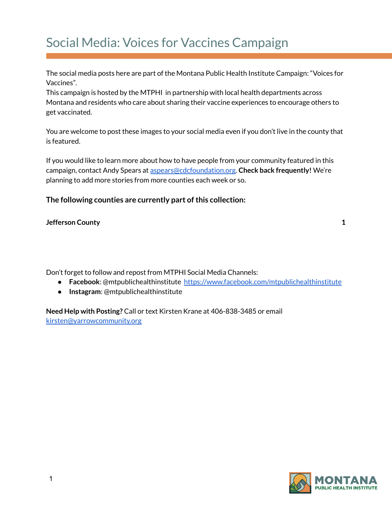## Social Media: Voices for Vaccines Campaign

The social media posts here are part of the Montana Public Health Institute Campaign: "Voices for Vaccines"*.*

This campaign is hosted by the MTPHI in partnership with local health departments across Montana and residents who care about sharing their vaccine experiences to encourage others to get vaccinated.

You are welcome to post these images to your social media even if you don't live in the county that is featured.

If you would like to learn more about how to have people from your community featured in this campaign, contact Andy Spears at [aspears@cdcfoundation.org](mailto:aspears@cdcfoundation.org). **Check back frequently!** We're planning to add more stories from more counties each week or so.

## **The following counties are currently part ofthis collection:**

## **[Jefferson](#page-1-0) County [1](#page-1-0)**

Don't forget to follow and repost from MTPHI Social Media Channels:

- **Facebook**: @mtpublichealthinstitute <https://www.facebook.com/mtpublichealthinstitute>
- **Instagram**: @mtpublichealthinstitute

**Need Help with Posting?** Call or text Kirsten Krane at 406-838-3485 or email [kirsten@yarrowcommunity.org](mailto:kirsten@yarrowcommunity.org)